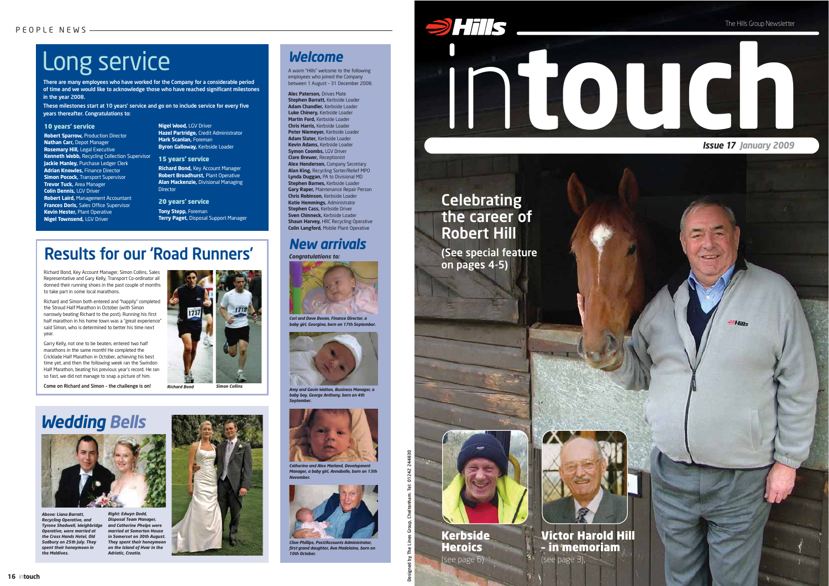Designed by The Lines Group, Cheltenham. Tel: 01242 244830



# Long service

# *New arrivals*

*Congratulations to:*



## *Welcome*

A warm "Hills" welcome to the following employees who joined the Company between 1 August – 31 December 2008.

**Alec Paterson,** Drives Mate **Stephen Barratt,** Kerbside Loader **Adam Chandler,** Kerbside Loader **Luke Chinery,** Kerbside Loader **Martin Ford,** Kerbside Loader **Chris Harris,** Kerbside Loader **Peter Niemeyer,** Kerbside Loader **Adam Slater,** Kerbside Loader **Kevin Adams,** Kerbside Loader **Symon Coombs, LGV Driver Clare Brewer,** Receptionist **Alex Henderson,** Company Secretary **Alan King,** Recycling Sorter/Relief MPO **Lynda Duggan,** PA to Divisional MD **Stephen Barnes,** Kerbside Loader **Gary Raper,** Maintenance Repair Person **Chris Robinson,** Kerbside Loader **Katie Hemmings,** Administrator **Stephen Cass,** Kerbside Driver **Sven Chinneck,** Kerbside Loader **Shaun Harvey, HRC Recycling Operative Colin Langford,** Mobile Plant Operative

*Ceri and Dave Bevan, Finance Director, a*  **baby girl, Georgina, born on 17th Septembe.** 



**Catherine and Alex Marland, Develo** *Manager, a baby girl, Annabelle, born on 13th November.*

*Above: Liana Barratt, Recycling Operative, and Tyrone Shadwell, Weighbridge Operative, were married at the Cross Hands Hotel, Old Sudbury on 25th July. They spent their honeymoon in the Maldives.*

*Right: Edwyn Dodd, Disposal Team Manager, and Catherine Phelps were married at Somerton House in Somerset on 30th August. They spent their honeymoon on the Island of Hvar in the Adriatic, Croatia.*



# *Wedding Bells*



*Amy and Gavin Walton, Business Manager, a baby boy, George Anthony, born on 4th September.*





*Clive Phillips, Post/Accounts Administrator, first grand daughter, Ava Madeleine, born on 10th October.*

**Richard Bond,** Key Account Manager **Robert Broadhurst,** Plant Operative **Alan Mackenzie,** Divisional Managing **Director** 

# Results for our 'Road Runners'

20 years' service **Tony Stepp, Foreman** 





Richard Bond, Key Account Manager, Simon Collins, Sales Representative and Gary Kelly, Transport Co-ordinator all donned their running shoes in the past couple of months to take part in some local marathons.

Richard and Simon both entered and "happily" completed the Stroud Half Marathon in October (with Simon narrowly beating Richard to the post). Running his first half marathon in his home town was a "great experience" said Simon, who is determined to better his time next year.

Garry Kelly, not one to be beaten, entered two half marathons in the same month! He completed the Cricklade Half Marathon in October, achieving his best time yet, and then the following week ran the Swindon Half Marathon, beating his previous year's record. He ran so fast, we did not manage to snap a picture of him.

Come on Richard and Simon – the challenge is on! *Richard Bond Simon Collins*

There are many employees who have worked for the Company for a considerable period of time and we would like to acknowledge those who have reached significant milestones in the year 2008.

These milestones start at 10 years' service and go on to include service for every five years thereafter. Congratulations to:

### 10 years' service

**Robert Sparrow,** Production Director **Nathan Carr,** Depot Manager **Rosemary Hill,** Legal Executive **Kenneth Webb,** Recycling Collection Supervisor **Jackie Manley,** Purchase Ledger Clerk **Adrian Knowles,** Finance Director **Simon Pocock, Transport Supervisor Trevor Tuck,** Area Manager **Colin Dennis,** LGV Driver **Robert Laird,** Management Accountant **Frances Doris,** Sales Office Supervisor **Kevin Hester,** Plant Operative **Nigel Townsend,** LGV Driver

### **Nigel Wood,** LGV Driver **Hazel Partridge,** Credit Administrator **Mark Scanlan, Foreman Byron Galloway,** Kerbside Loader

### 15 years' service

**Terry Paget,** Disposal Support Manager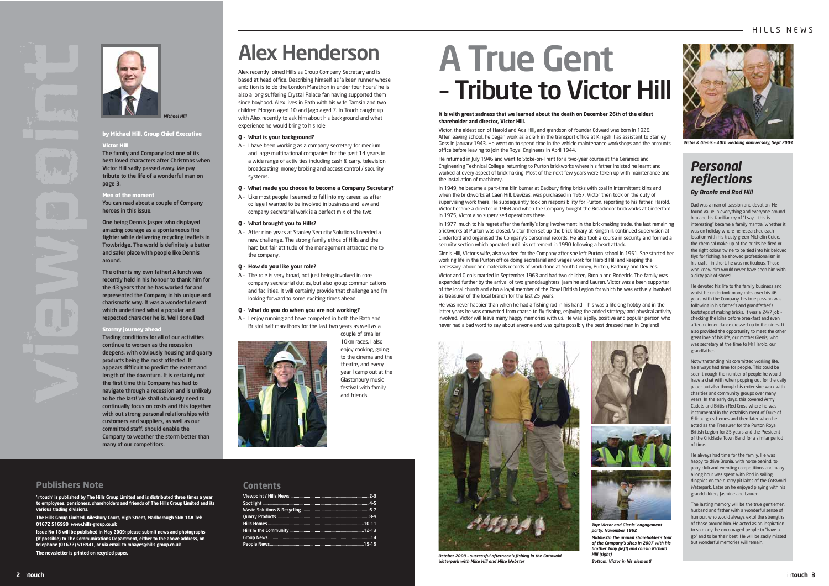### **Publishers Note**

**'**in**touch' is published by The Hills Group Limited and is distributed three times a year to employees, pensioners, shareholders and friends of The Hills Group Limited and its various trading divisions.**

**The Hills Group Limited, Ailesbury Court, High Street, Marlborough SN8 1AA Tel: 01672 516999 www.hills-group.co.uk** 

**Issue No 18 will be published in May 2009; please submit news and photographs (if possible) to The Communications Department, either to the above address, on telephone (01672) 518941, or via email to mhayes@hills-group.co.uk The newsletter is printed on recycled paper.**







### by Michael Hill, Group Chief Executive

### Victor Hill

The family and Company lost one of its best loved characters after Christmas when Victor Hill sadly passed away. We pay tribute to the life of a wonderful man on page 3.

## Men of the moment

You can read about a couple of Company heroes in this issue.

One being Dennis Jasper who displayed amazing courage as a spontaneous fire fighter while delivering recycling leaflets in Trowbridge. The world is definitely a better and safer place with people like Dennis around.

The other is my own father! A lunch was recently held in his honour to thank him for the 43 years that he has worked for and represented the Company in his unique and charismatic way. It was a wonderful event which underlined what a popular and respected character he is. Well done Dad!

### Stormy journey ahead

Trading conditions for all of our activities continue to worsen as the recession deepens, with obviously housing and quarry products being the most affected. It appears difficult to predict the extent and length of the downturn. It is certainly not the first time this Company has had to navigate through a recession and is unlikely to be the last! We shall obviously need to continually focus on costs and this together with out strong personal relationships with customers and suppliers, as well as our committed staff, should enable the Company to weather the storm better than many of our competitors.





### **Contents**

# Alex Henderson

Alex recently joined Hills as Group Company Secretary and is based at head office. Describing himself as 'a keen runner whose ambition is to do the London Marathon in under four hours' he is also a long suffering Crystal Palace fan having supported them since boyhood. Alex lives in Bath with his wife Tamsin and two children Morgan aged 10 and Jago aged 7. In Touch caught up with Alex recently to ask him about his background and what experience he would bring to his role.

### **Q - What is your background?**

- A I have been working as a company secretary for medium and large multinational companies for the past 14 years in a wide range of activities including cash & carry, television broadcasting, money broking and access control / security systems.
- **Q What made you choose to become a Company Secretary?**
- A Like most people I seemed to fall into my career, as after college I wanted to be involved in business and law and company secretarial work is a perfect mix of the two.

### **Q - What brought you to Hills?**

A - After nine years at Stanley Security Solutions I needed a new challenge. The strong family ethos of Hills and the hard but fair attitude of the management attracted me to the company.

### **Q - How do you like your role?**

A - The role is very broad, not just being involved in core company secretarial duties, but also group communications and facilities. It will certainly provide that challenge and I'm looking forward to some exciting times ahead.

### **Q - What do you do when you are not working?**

A - I enjoy running and have competed in both the Bath and Bristol half marathons for the last two years as well as a



couple of smaller 10km races. I also enjoy cooking, going to the cinema and the theatre, and every year I camp out at the Glastonbury music festival with family and friends.

### **It is with great sadness that we learned about the death on December 26th of the eldest shareholder and director, VIctor Hill.**

Victor, the eldest son of Harold and Ada Hill, and grandson of founder Edward was born in 1926. After leaving school, he began work as a clerk in the transport office at Kingshill as assistant to Stanley Goss in January 1943. He went on to spend time in the vehicle maintenance workshops and the accounts office before leaving to join the Royal Engineers in April 1944.

He returned in July 1946 and went to Stoke-on-Trent for a two-year course at the Ceramics and Engineering Technical College, returning to Purton brickworks where his father insisted he learnt and worked at every aspect of brickmaking. Most of the next few years were taken up with maintenance and the installation of machinery.

In 1949, he became a part-time kiln burner at Badbury firing bricks with coal in intermittent kilns and when the brickworks at Caen Hill, Devizes, was purchased in 1957, Victor then took on the duty of supervising work there. He subsequently took on responsibility for Purton, reporting to his father, Harold. Victor became a director in 1968 and when the Company bought the Broadmoor brickworks at Cinderford in 1975, Victor also supervised operations there.

In 1977, much to his regret after the family's long involvement in the brickmaking trade, the last remaining brickworks at Purton was closed. Victor then set up the brick library at Kingshill, continued supervision at Cinderford and organised the Company's personnel records. He also took a course in security and formed a security section which operated until his retirement in 1990 following a heart attack.

Glenis Hill, Victor's wife, also worked for the Company after she left Purton school in 1951. She started her working life in the Purton office doing secretarial and wages work for Harold Hill and keeping the necessary labour and materials records of work done at South Cerney, Purton, Badbury and Devizes.

Victor and Glenis married in September 1963 and had two children, Bronia and Roderick. The family was expanded further by the arrival of two granddaughters, Jasmine and Lauren. Victor was a keen supporter of the local church and also a loyal member of the Royal British Legion for which he was actively involved as treasurer of the local branch for the last 25 years.

He was never happier than when he had a fishing rod in his hand. This was a lifelong hobby and in the latter years he was converted from coarse to fly fishing, enjoying the added strategy and physical activity involved. Victor will leave many happy memories with us. He was a jolly, positive and popular person who never had a bad word to say about anyone and was quite possibly the best dressed man in England!







Dad was a man of passion and devotion. He found value in everything and everyone around him and his familiar cry of "I say – this is interesting" became a family mantra. Whether it was on holiday where he researched each location with his trusty green Michelin Guide, the chemical make-up of the bricks he fired or the right colour twine to be tied into his beloved flys for fishing, he showed professionalism in his craft - in short, he was meticulous. Those who knew him would never have seen him with a dirty pair of shoes!

He devoted his life to the family business and whilst he undertook many roles over his 46 years with the Company, his true passion was following in his father's and grandfather's footsteps of making bricks. It was a 24/7 job checking the kilns before breakfast and even after a dinner-dance dressed up to the nines. It also provided the opportunity to meet the other great love of his life, our mother Glenis, who was secretary at the time to Mr Harold, our grandfather.

Notwithstanding his committed working life, he always had time for people. This could be seen through the number of people he would have a chat with when popping out for the daily paper but also through his extensive work with charities and community groups over many years. In the early days, this covered Army Cadets and British Red Cross where he was instrumental in the establish-ment of Duke of Edinburgh schemes and then later when he acted as the Treasurer for the Purton Royal British Legion for 25 years and the President of the Cricklade Town Band for a similar period of time.

He always had time for the family. He was happy to drive Bronia, with horse behind, to pony club and eventing competitions and many a long hour was spent with Rod in sailing dinghies on the quarry pit lakes of the Cotswold Waterpark. Later on he enjoyed playing with his grandchildren, Jasmine and Lauren.

The lasting memory will be the true gentlemen, husband and father with a wonderful sense of humour, who would always extol the strengths of those around him. He acted as an inspiration to so many: he encouraged people to "have a go" and to be their best. He will be sadly missed but wonderful memories will remain.

# A True Gent – Tribute to Victor Hill

## *Personal reflections By Bronia and Rod Hill*



*Victor & Glenis – 40th wedding anniversary, Sept 2003*

### *October 2008 – successful afternoon's fishing in the Cotswold Waterpark with Mike Hill and Mike Webster*

*Top: Victor and Glenis' engagement Middle:On the annual shareholder's tour*

*party, November 1962 Hill (right)*

*of the Company's sites in 2007 with his brother Tony (left) and cousin Richard*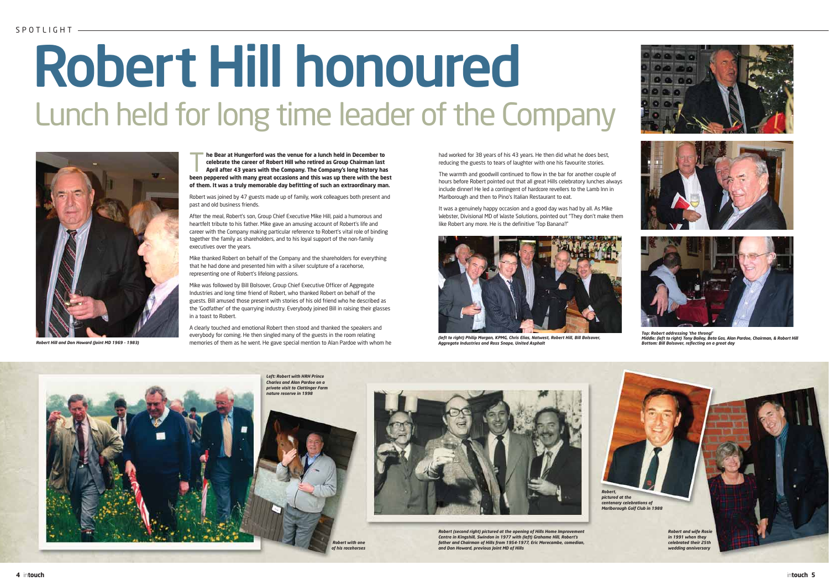





The Bear at Hungerford was the venue for a lunch held in December to<br>
celebrate the career of Robert Hill who retired as Group Chairman last<br>
April after 43 years with the Company. The Company's long history has **celebrate the career of Robert Hill who retired as Group Chairman last been peppered with many great occasions and this was up there with the best of them. It was a truly memorable day befitting of such an extraordinary man.**

Robert was joined by 47 guests made up of family, work colleagues both present and past and old business friends.

After the meal, Robert's son, Group Chief Executive Mike Hill, paid a humorous and heartfelt tribute to his father. Mike gave an amusing account of Robert's life and career with the Company making particular reference to Robert's vital role of binding together the family as shareholders, and to his loyal support of the non-family executives over the years.

Mike thanked Robert on behalf of the Company and the shareholders for everything that he had done and presented him with a silver sculpture of a racehorse, representing one of Robert's lifelong passions.

Mike was followed by Bill Bolsover, Group Chief Executive Officer of Aggregate Industries and long time friend of Robert, who thanked Robert on behalf of the guests. Bill amused those present with stories of his old friend who he described as the 'Godfather' of the quarrying industry. Everybody joined Bill in raising their glasses in a toast to Robert.

A clearly touched and emotional Robert then stood and thanked the speakers and everybody for coming. He then singled many of the guests in the room relating memories of them as he went. He gave special mention to Alan Pardoe with whom he

# Robert Hill honoured Lunch held for long time leader of the Company







*Robert (second right) pictured at the opening of Hills Home Improvement Centre in Kingshill, Swindon in 1977 with (left) Grahame Hill, Robert's father and Chairman of Hills from 1954-1977, Eric Morecambe, comedian, and Don Howard, previous Joint MD of Hills*

had worked for 38 years of his 43 years. He then did what he does best, reducing the guests to tears of laughter with one his favourite stories.

The warmth and goodwill continued to flow in the bar for another couple of hours before Robert pointed out that all great Hills celebratory lunches always include dinner! He led a contingent of hardcore revellers to the Lamb Inn in Marlborough and then to Pino's Italian Restaurant to eat.

It was a genuinely happy occasion and a good day was had by all. As Mike Webster, Divisional MD of Waste Solutions, pointed out "They don't make them like Robert any more. He is the definitive 'Top Banana'!"



*Robert Hill and Don Howard (Joint MD 1969 – 1983)*



*(left to right) Philip Morgan, KPMG, Chris Elias, Natwest, Robert Hill, Bill Bolsover, Aggregate Industries and Ross Snape, United Asphalt*

*Top: Robert addressing 'the throng!' Middle: (left to right) Tony Bailey, Beta Gas, Alan Pardoe, Chairman, & Robert Hill Bottom: Bill Bolsover, reflecting on a great day*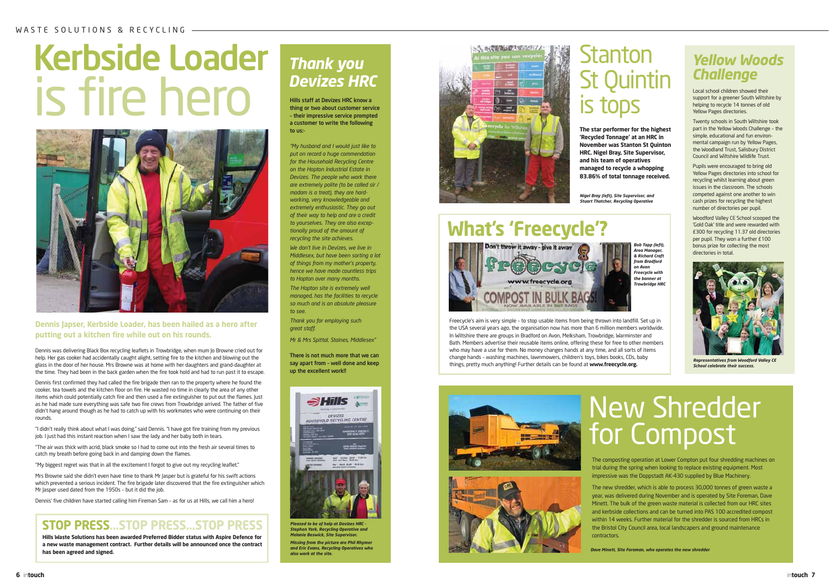

# Kerbside Loader is fire hero



# *Thank you Devizes HRC*

Hills staff at Devizes HRC know a thing or two about customer service – their impressive service prompted a customer to write the following to us:-

*"My husband and I would just like to put on record a huge commendation for the Household Recycling Centre on the Hopton Industrial Estate in Devizes. The people who work there are extremely polite (to be called sir / madam is a treat), they are hardworking, very knowledgeable and extremely enthusiastic. They go out of their way to help and are a credit to yourselves. They are also exceptionally proud of the amount of recycling the site achieves.* 

> www.freecycle.org Freecycle's aim is very simple – to stop usable items from being thrown into landfill. Set up in the USA several years ago, the organisation now has more than 6 million members worldwide.

*We don't live in Devizes, we live in Middlesex, but have been sorting a lot of things from my mother's property, hence we have made countless trips to Hopton over many months. The Hopton site is extremely well managed, has the facilities to recycle so much and is an absolute pleasure to see.*

# **What's 'Freecycle'?** Don't throw it away - give it away

*Thank you for employing such great staff.*

*Mr & Mrs Spittal, Staines, Middlesex"*

There is not much more that we can say apart from – well done and keep up the excellent work!!

**The star performer for the highest 'Recycled Tonnage' at an HRC in November was Stanton St Quinton HRC. Nigel Bray, Site Supervisor, and his team of operatives managed to recycle a whopping 83.86% of total tonnage received.**

# Stanton St Quintin is tops

In Wiltshire there are groups in Bradford on Avon, Melksham, Trowbridge, Warminster and Bath. Members advertise their reusable items online, offering these for free to other members who may have a use for them. No money changes hands at any time, and all sorts of items change hands – washing machines, lawnmowers, children's toys, bikes books, CDs, baby things, pretty much anything! Further details can be found at **www.freecycle.org.**





Local school children showed their support for a greener South Wiltshire by helping to recycle 14 tonnes of old Yellow Pages directories.

Twenty schools in South Wiltshire took part in the Yellow Woods Challenge – the simple, educational and fun environmental campaign run by Yellow Pages, the Woodland Trust, Salisbury District Council and Wiltshire Wildlife Trust.

Pupils were encouraged to bring old Yellow Pages directories into school for recycling whilst learning about green issues in the classroom. The schools competed against one another to win cash prizes for recycling the highest number of directories per pupil.

Woodford Valley CE School scooped the 'Gold Oak' title and were rewarded with £300 for recycling 11.37 old directories per pupil. They won a further £100 bonus prize for collecting the most directories in total.

# *Yellow Woods Challenge*



*Pleased to be of help at Devizes HRC - Stephen York, Recycling Operative and Melanie Beswick, Site Supervisor. Missing from the picture are Phil Rhymer and Eric Evans, Recycling Operatives who also work at the site.*



*Nigel Bray (left), Site Supervisor, and Stuart Thatcher, Recycling Operative*



*Representatives from Woodford Valley CE School celebrate their success.*

*Bob Tapp (left), Area Manager, & Richard Craft from Bradford on Avon Freecycle with the banner at Trowbridge HRC*

# New Shredder for Compost

The composting operation at Lower Compton put four shredding machines on trial during the spring when looking to replace existing equipment. Most impressive was the Doppstadt AK-430 supplied by Blue Machinery.

The new shredder, which is able to process 30,000 tonnes of green waste a year, was delivered during November and is operated by Site Foreman, Dave Minett. The bulk of the green waste material is collected from our HRC sites and kerbside collections and can be turned into PAS 100 accredited compost within 14 weeks. Further material for the shredder is sourced from HRCs in the Bristol City Council area, local landscapers and ground maintenance contractors.

### **Dennis Japser, Kerbside Loader, has been hailed as a hero after putting out a kitchen fire while out on his rounds.**

Dennis was delivering Black Box recycling leaflets in Trowbridge, when mum Jo Browne cried out for help. Her gas cooker had accidentally caught alight, setting fire to the kitchen and blowing out the glass in the door of her house. Mrs Browne was at home with her daughters and grand-daughter at the time. They had been in the back garden when the fire took hold and had to run past it to escape.

Dennis first confirmed they had called the fire brigade then ran to the property where he found the cooker, tea towels and the kitchen floor on fire. He wasted no time in clearly the area of any other items which could potentially catch fire and then used a fire extinguisher to put out the flames. Just as he had made sure everything was safe two fire crews from Trowbridge arrived. The father of five didn't hang around though as he had to catch up with his workmates who were continuing on their rounds.

"I didn't really think about what I was doing," said Dennis. "I have got fire training from my previous job. I just had this instant reaction when I saw the lady and her baby both in tears.

"The air was thick with acrid, black smoke so I had to come out into the fresh air several times to catch my breath before going back in and damping down the flames.

"My biggest regret was that in all the excitement I forgot to give out my recycling leaflet."

Mrs Browne said she didn't even have time to thank Mr Jasper but is grateful for his swift actions which prevented a serious incident. The fire brigade later discovered that the fire extinguisher which Mr Jasper used dated from the 1950s - but it did the job.

Dennis' five children have started calling him Fireman Sam – as for us at Hills, we call him a hero!

**Hills Waste Solutions has been awarded Preferred Bidder status with Aspire Defence for a new waste management contract. Further details will be announced once the contract has been agreed and signed.**

## **STOP PRESS...STOP PRESS...STOP PRESS**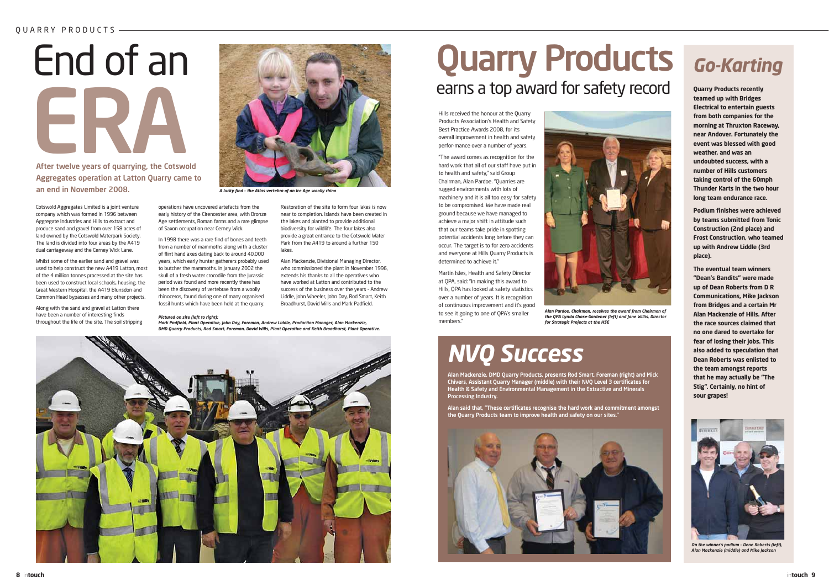Cotswold Aggregates Limited is a joint venture company which was formed in 1996 between Aggregate Industries and Hills to extract and produce sand and gravel from over 158 acres of land owned by the Cotswold Waterpark Society. The land is divided into four areas by the A419 dual carriageway and the Cerney Wick Lane.

Whilst some of the earlier sand and gravel was used to help construct the new A419 Latton, most of the 4 million tonnes processed at the site has been used to construct local schools, housing, the Great Western Hospital, the A419 Blunsdon and Common Head bypasses and many other projects.

Along with the sand and gravel at Latton there have been a number of interesting finds throughout the life of the site. The soil stripping



# End of an ERA

After twelve years of quarrying, the Cotswold Aggregates operation at Latton Quarry came to an end in November 2008.

> Alan Mackenzie, DMD Quarry Products, presents Rod Smart, Foreman (right) and Mick Chivers, Assistant Quarry Manager (middle) with their NVQ Level 3 certificates for Health & Safety and Environmental Management in the Extractive and Minerals Processing Industry.

> Alan said that, "These certificates recognise the hard work and commitment amongst the Quarry Products team to improve health and safety on our sites."



**Quarry Products recently teamed up with Bridges Electrical to entertain guests from both companies for the morning at Thruxton Raceway, near Andover. Fortunately the event was blessed with good weather, and was an undoubted success, with a number of Hills customers taking control of the 60mph Thunder Karts in the two hour long team endurance race.**

**Podium finishes were achieved by teams submitted from Tonic Construction (2nd place) and Frost Construction, who teamed up with Andrew Liddle (3rd place).**

# Quarry Products Go-Karting earns a top award for safety record

**The eventual team winners "Dean's Bandits" were made up of Dean Roberts from D R Communications, Mike Jackson from Bridges and a certain Mr Alan Mackenzie of Hills. After the race sources claimed that no one dared to overtake for fear of losing their jobs. This also added to speculation that Dean Roberts was enlisted to the team amongst reports that he may actually be "The Stig". Certainly, no hint of sour grapes!**

operations have uncovered artefacts from the early history of the Cirencester area, with Bronze Age settlements, Roman farms and a rare glimpse of Saxon occupation near Cerney Wick.

In 1998 there was a rare find of bones and teeth from a number of mammoths along with a cluster of flint hand axes dating back to around 40,000 years, which early hunter gatherers probably used to butcher the mammoths. In January 2002 the skull of a fresh water crocodile from the Jurassic period was found and more recently there has been the discovery of vertebrae from a woolly rhinoceros, found during one of many organised fossil hunts which have been held at the quarry.

Restoration of the site to form four lakes is now near to completion. Islands have been created in the lakes and planted to provide additional biodiversity for wildlife. The four lakes also provide a great entrance to the Cotswold Water Park from the A419 to around a further 150

lakes.

Alan Mackenzie, Divisional Managing Director, who commissioned the plant in November 1996 extends his thanks to all the operatives who have worked at Latton and contributed to the success of the business over the years - Andrew Liddle, John Wheeler, John Day, Rod Smart, Keith Broadhurst, David Wills and Mark Padfield.

*A lucky find – the Atlas vertebra of an Ice Age woolly rhino*

### *Pictured on site (left to right):*

*Mark Padfield, Plant Operative, John Day, Foreman, Andrew Liddle, Production Manager, Alan Mackenzie, DMD Quarry Products, Rod Smart, Foreman, David Wills, Plant Operative and Keith Broadhurst, Plant Operative.*





*On the winner's podium – Dene Roberts (left), Alan Mackenzie (middle) and Mike Jackson* 

Hills received the honour at the Quarry Products Association's Health and Safety Best Practice Awards 2008, for its overall improvement in health and safety perfor-mance over a number of years.

"The award comes as recognition for the hard work that all of our staff have put in to health and safety," said Group Chairman, Alan Pardoe. "Quarries are rugged environments with lots of machinery and it is all too easy for safety to be compromised. We have made real ground because we have managed to achieve a major shift in attitude such that our teams take pride in spotting potential accidents long before they can occur. The target is to for zero accidents and everyone at Hills Quarry Products is determined to achieve it."

Martin Isles, Health and Safety Director at QPA, said: "In making this award to Hills, QPA has looked at safety statistics over a number of years. It is recognition of continuous improvement and it's good to see it going to one of QPA's smaller members."



*Alan Pardoe, Chairman, receives the award from Chairman of the QPA Lynda Chase-Gardener (left) and Jane Willis, Director for Strategic Projects at the HSE*

# *NVQ Success*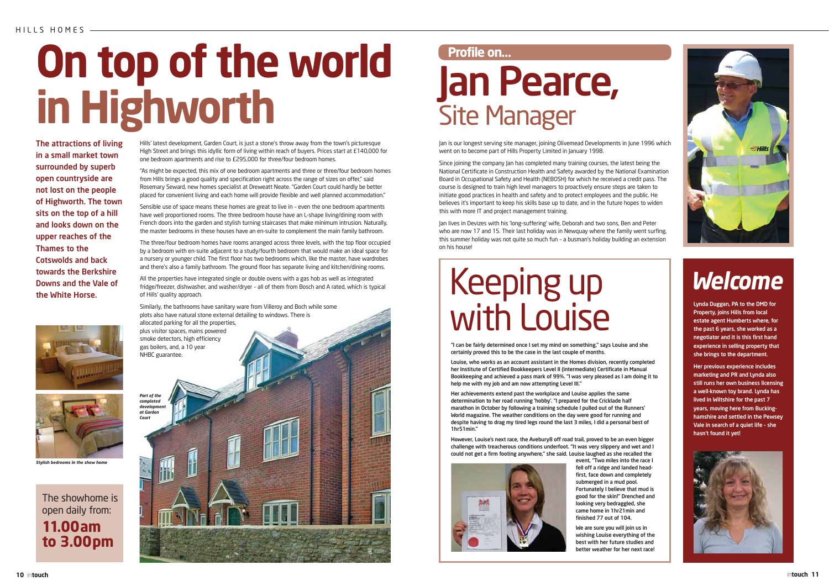

# **On top of the world in Highworth** Jan Pearce, Site Manager

# *Welcome*

The attractions of living in a small market town surrounded by superb open countryside are not lost on the people of Highworth. The town sits on the top of a hill and looks down on the upper reaches of the Thames to the Cotswolds and back towards the Berkshire Downs and the Vale of the White Horse.



Hills' latest development, Garden Court, is just a stone's throw away from the town's picturesque High Street and brings this idyllic form of living within reach of buyers. Prices start at £140,000 for one bedroom apartments and rise to £295,000 for three/four bedroom homes.

"As might be expected, this mix of one bedroom apartments and three or three/four bedroom homes from Hills brings a good quality and specification right across the range of sizes on offer," said Rosemary Seward, new homes specialist at Dreweatt Neate. "Garden Court could hardly be better placed for convenient living and each home will provide flexible and well planned accommodation."

Sensible use of space means these homes are great to live in – even the one bedroom apartments have well proportioned rooms. The three bedroom house have an L-shape living/dining room with French doors into the garden and stylish turning staircases that make minimum intrusion. Naturally, the master bedrooms in these houses have an en-suite to complement the main family bathroom.

The three/four bedroom homes have rooms arranged across three levels, with the top floor occupied by a bedroom with en-suite adjacent to a study/fourth bedroom that would make an ideal space for a nursery or younger child. The first floor has two bedrooms which, like the master, have wardrobes and there's also a family bathroom. The ground floor has separate living and kitchen/dining rooms.

All the properties have integrated single or double ovens with a gas hob as well as integrated fridge/freezer, dishwasher, and washer/dryer – all of them from Bosch and A rated, which is typical of Hills' quality approach.

The showhome is open daily from: **11.00am to 3.00pm**

## **Profile on…**

Jan is our longest serving site manager, joining Olivemead Developments in June 1996 which went on to become part of Hills Property Limited in January 1998.

Since joining the company Jan has completed many training courses, the latest being the National Certificate in Construction Health and Safety awarded by the National Examination Board in Occupational Safety and Health (NEBOSH) for which he received a credit pass. The course is designed to train high level managers to proactively ensure steps are taken to initiate good practices in health and safety and to protect employees and the public. He believes it's important to keep his skills base up to date, and in the future hopes to widen this with more IT and project management training.

Jan lives in Devizes with his 'long-suffering' wife, Deborah and two sons, Ben and Peter who are now 17 and 15. Their last holiday was in Newquay where the family went surfing, this summer holiday was not quite so much fun – a busman's holiday building an extension on his house!

# Keeping up with Louise

"I can be fairly determined once I set my mind on something," says Louise and she certainly proved this to be the case in the last couple of months.

Louise, who works as an account assistant in the Homes division, recently completed her Institute of Certified Bookkeepers Level II (intermediate) Certificate in Manual Bookkeeping and achieved a pass mark of 99%. "I was very pleased as I am doing it to help me with my job and am now attempting Level III."

Similarly, the bathrooms have sanitary ware from Villeroy and Boch while some plots also have natural stone external detailing to windows. There is allocated parking for all the properties, plus visitor spaces, mains powered smoke detectors, high efficiency gas boilers, and, a 10 year NHBC guarantee. *Part of the completed developme at Garden Court*

Her achievements extend past the workplace and Louise applies the same determination to her road running 'hobby'. "I prepared for the Cricklade half marathon in October by following a training schedule I pulled out of the Runners' World magazine. The weather conditions on the day were good for running and despite having to drag my tired legs round the last 3 miles, I did a personal best of 1hr51min."

However, Louise's next race, the Avebury8 off road trail, proved to be an even bigger challenge with treacherous conditions underfoot. "It was very slippery and wet and I could not get a firm footing anywhere," she said. Louise laughed as she recalled the



event, "Two miles into the race I fell off a ridge and landed headfirst, face down and completely submerged in a mud pool. Fortunately I believe that mud is good for the skin!" Drenched and looking very bedraggled, she came home in 1hr21min and finished 77 out of 104.

We are sure you will join us in wishing Louise everything of the best with her future studies and better weather for her next race! Lynda Duggan, PA to the DMD for Property, joins Hills from local estate agent Humberts where, for the past 6 years, she worked as a negotiator and it is this first hand experience in selling property that she brings to the department.

Her previous experience includes marketing and PR and Lynda also still runs her own business licensing a well-known toy brand. Lynda has lived in Wiltshire for the past 7 years, moving here from Buckinghamshire and settled in the Pewsey Vale in search of a quiet life – she hasn't found it yet!





*Stylish bedrooms in the show home*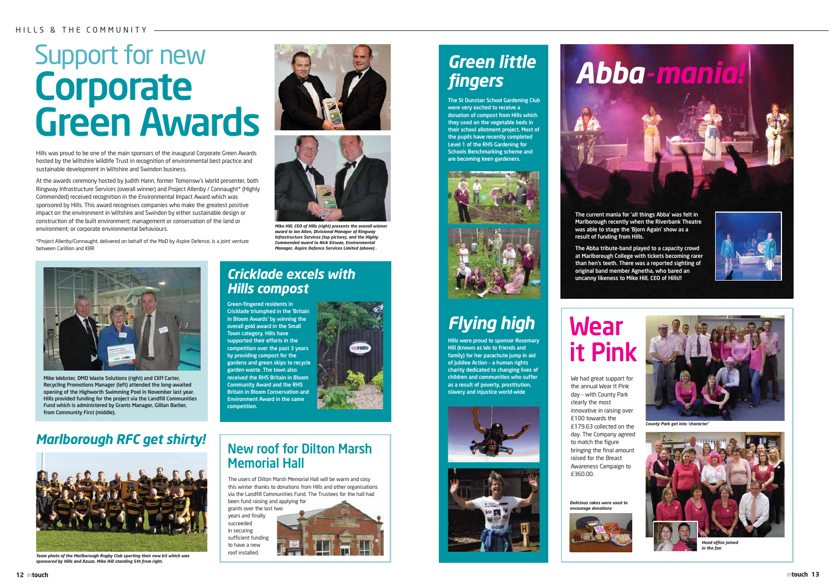# Support for new **Corporate** Green Awards

### HILLS & THE COMMUNITY

**12** in**touch** in**touch 13**









## Green-fingered residents in Cricklade triumphed in the 'Britain *Hills compost*

in Bloom Awards' by winning the overall gold award in the Small Town category. Hills have supported their efforts in the competition over the past 3 years by providing compost for the gardens and green skips to recycle garden waste. The town also received the RHS Britain in Bloom Community Award and the RHS Britain in Bloom Conservation and Environment Award in the same competition.



*Cricklade excels with*

# New roof for Dilton Marsh Memorial Hall

The current mania for 'all things Abba' was felt in Marlborough recently when the Riverbank Theatre was able to stage the 'Bjorn Again' show as a result of funding from Hills.

The Abba tribute-band played to a capacity crowd at Marlborough College with tickets becoming rarer than hen's teeth. There was a reported sighting of original band member Agnetha, who bared an uncanny likeness to Mike Hill, CEO of Hills!!



*Mike Hill, CEO of Hills (right) presents the overall winn award to Ian Allen, Divisional Manager of Ringway Infrastructure Services (top picture), and the Highly Commended award to Nick Kirwan, Environmental Manager, Aspire Defence Services Limited (above) .*

Hills was proud to be one of the main sponsors of the inaugural Corporate Green Awards hosted by the Wiltshire Wildlife Trust in recognition of environmental best practice and

# **Wear** it Pink

sustainable development in Wiltshire and Swindon business.

At the awards ceremony hosted by Judith Hann, former Tomorrow's World presenter, both Ringway Infrastructure Services (overall winner) and Project Allenby / Connaught\* (Highly Commended) received recognition in the Environmental Impact Award which was sponsored by Hills. This award recognises companies who make the greatest positive impact on the environment in Wiltshire and Swindon by either sustainable design or construction of the built environment; management or conservation of the land or

environment; or corporate environmental behaviours.

\*Project Allenby/Connaught, delivered on behalf of the MoD by Aspire Defence, is a joint venture

between Carillion and KBR





### *Delicious cakes were used to encourage donations*



We had great support for the annual Wear It Pink day – with County Park clearly the most innovative in raising over £100 towards the £179.63 collected on the day. The Company agreed to match the figure bringing the final amount raised for the Breast Awareness Campaign to £360.00.

*County Park get into 'character'*



*Head office joined in the fun* 

# *Green little fingers*

The St Dunstan School Gardening Club were very excited to receive a donation of compost from Hills which they used on the vegetable beds in their school allotment project. Most of the pupils have recently completed Level 1 of the RHS Gardening for Schools Benchmarking scheme and are becoming keen gardeners.





# *Flying high*

Hills were proud to sponsor Rosemary Hill (known as Wo to friends and family) for her parachute jump in aid of Jubilee Action – a human rights charity dedicated to changing lives of children and communities who suffer as a result of poverty, prostitution, slavery and injustice world-wide







*Team photo of the Marlborough Rugby Club sporting their new kit which was sponsored by Hills and Azuza. Mike Hill standing 5th from right.*



Mike Webster, DMD Waste Solutions (right) and Cliff Carter, Recycling Promotions Manager (left) attended the long-awaited opening of the Highworth Swimming Pool in November last year. Hills provided funding for the project via the Landfill Communities Fund which is administered by Grants Manager, Gillian Barber, from Community First (middle).

# *Marlborough RFC get shirty!*

The users of Dilton Marsh Memorial Hall will be warm and cosy this winter thanks to donations from Hills and other organisations via the Landfill Communities Fund. The Trustees for the hall had been fund raising and applying for

grants over the last two years and finally succeeded in securing sufficient funding to have a new roof installed.